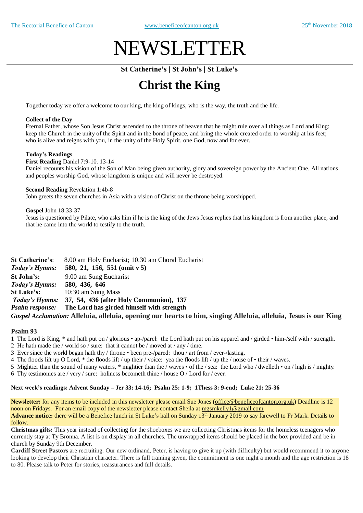# NEWSLETTER

# **St Catherine's | St John's | St Luke's**

# **Christ the King**

Together today we offer a welcome to our king, the king of kings, who is the way, the truth and the life.

#### **Collect of the Day**

Eternal Father, whose Son Jesus Christ ascended to the throne of heaven that he might rule over all things as Lord and King: keep the Church in the unity of the Spirit and in the bond of peace, and bring the whole created order to worship at his feet; who is alive and reigns with you, in the unity of the Holy Spirit, one God, now and for ever.

## **Today's Readings**

**First Reading** Daniel 7:9-10. 13-14

Daniel recounts his vision of the Son of Man being given authority, glory and sovereign power by the Ancient One. All nations and peoples worship God, whose kingdom is unique and will never be destroyed.

#### **Second Reading** Revelation 1:4b-8

John greets the seven churches in Asia with a vision of Christ on the throne being worshipped.

#### **Gospel** John 18:33-37

Jesus is questioned by Pilate, who asks him if he is the king of the Jews Jesus replies that his kingdom is from another place, and that he came into the world to testify to the truth.

| <b>St Catherine's:</b>                                                                                           | 8.00 am Holy Eucharist; 10.30 am Choral Eucharist                |  |  |
|------------------------------------------------------------------------------------------------------------------|------------------------------------------------------------------|--|--|
| Today's Hymns:                                                                                                   | 580, 21, 156, 551 (omit $v$ 5)                                   |  |  |
| St John's:                                                                                                       | 9.00 am Sung Eucharist                                           |  |  |
| Today's Hymns: 580, 436, 646                                                                                     |                                                                  |  |  |
| <b>St Luke's:</b>                                                                                                | 10:30 am Sung Mass                                               |  |  |
|                                                                                                                  | <i>Today's Hymns:</i> 37, 54, 436 (after Holy Communion), 137    |  |  |
|                                                                                                                  | <i>Psalm response:</i> The Lord has girded himself with strength |  |  |
| Gospel Acclamation: Alleluia, alleluia, opening our hearts to him, singing Alleluia, alleluia, Jesus is our King |                                                                  |  |  |

#### **Psalm 93**

- 1 The Lord is King, \* and hath put on / glorious ap-/parel: the Lord hath put on his apparel and / girded him-/self with / strength.
- 2 He hath made the / world so / sure: that it cannot be / moved at / any / time.
- 3 Ever since the world began hath thy / throne been pre-/pared: thou / art from / ever-/lasting.
- 4 The floods lift up O Lord, \* the floods lift / up their / voice: yea the floods lift / up the / noise of their / waves.
- 5 Mightier than the sound of many waters, \* mightier than the / waves of the / sea: the Lord who / dwelleth on / high is / mighty.
- 6 Thy testimonies are / very / sure: holiness becometh thine / house O / Lord for / ever.

#### **Next week's readings: Advent Sunday – Jer 33: 14-16; Psalm 25: 1-9; 1Thess 3: 9-end; Luke 21: 25-36**

**Newsletter:** for any items to be included in this newsletter please email Sue Jones (office@beneficeofcanton.org.uk) Deadline is 12 noon on Fridays. For an email copy of the newsletter please contact Sheila at [mgsmkelly1@gmail.com](mailto:mgsmkelly1@gmail.com) **Advance notice:** there will be a Benefice lunch in St Luke's hall on Sunday 13th January 2019 to say farewell to Fr Mark. Details to follow.

**Christmas gifts:** This year instead of collecting for the shoeboxes we are collecting Christmas items for the homeless teenagers who currently stay at Ty Bronna. A list is on display in all churches. The unwrapped items should be placed in the box provided and be in church by Sunday 9th December.

**Cardiff Street Pastors** are recruiting. Our new ordinand, Peter, is having to give it up (with difficulty) but would recommend it to anyone looking to develop their Christian character. There is full training given, the commitment is one night a month and the age restriction is 18 to 80. Please talk to Peter for stories, reassurances and full details.